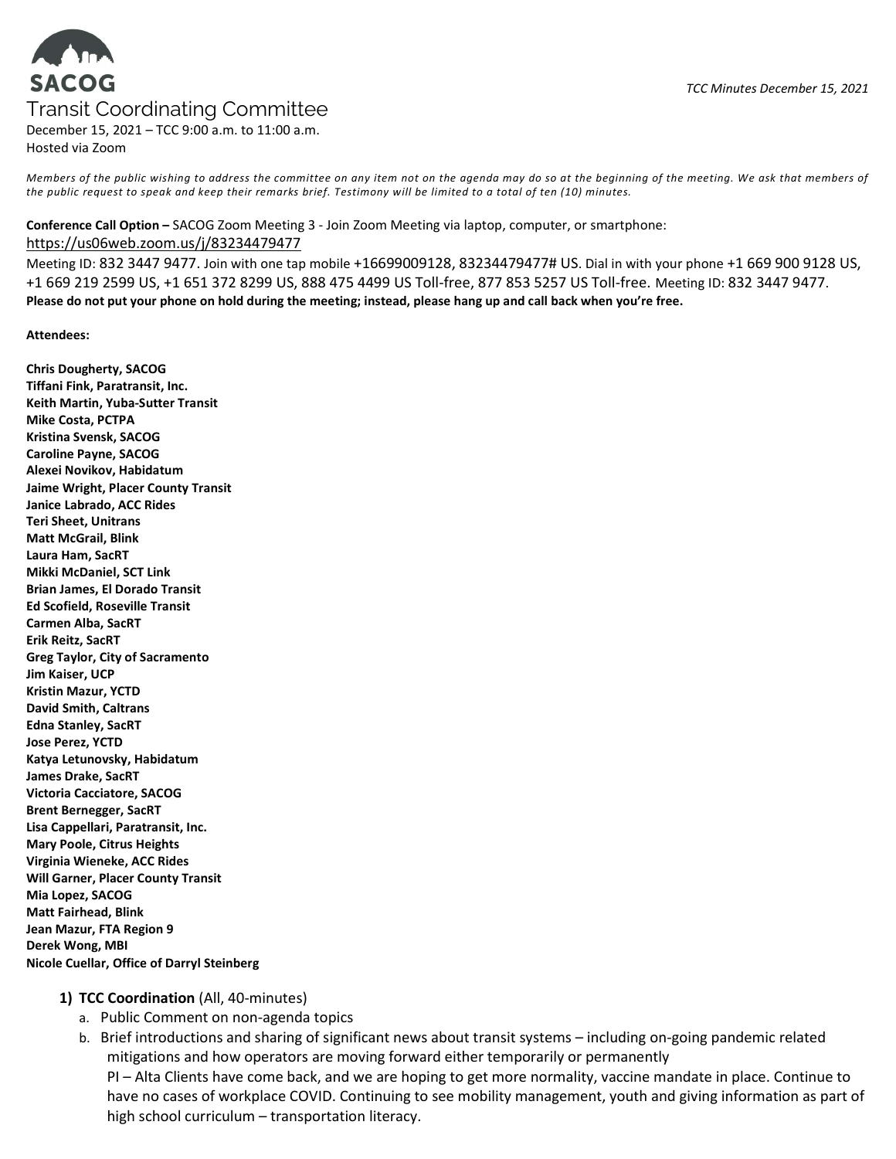# **SACOG** Transit Coordinating Committee

December 15, 2021 – TCC 9:00 a.m. to 11:00 a.m. Hosted via Zoom

Members of the public wishing to address the committee on any item not on the agenda may do so at the beginning of the meeting. We ask that members of the public request to speak and keep their remarks brief. Testimony will be limited to a total of ten (10) minutes.

#### Conference Call Option – SACOG Zoom Meeting 3 - Join Zoom Meeting via laptop, computer, or smartphone:

#### https://us06web.zoom.us/j/83234479477

Meeting ID: 832 3447 9477. Join with one tap mobile +16699009128, 83234479477# US. Dial in with your phone +1 669 900 9128 US, +1 669 219 2599 US, +1 651 372 8299 US, 888 475 4499 US Toll-free, 877 853 5257 US Toll-free. Meeting ID: 832 3447 9477. Please do not put your phone on hold during the meeting; instead, please hang up and call back when you're free.

#### Attendees:

Chris Dougherty, SACOG Tiffani Fink, Paratransit, Inc. Keith Martin, Yuba-Sutter Transit Mike Costa, PCTPA Kristina Svensk, SACOG Caroline Payne, SACOG Alexei Novikov, Habidatum Jaime Wright, Placer County Transit Janice Labrado, ACC Rides Teri Sheet, Unitrans Matt McGrail, Blink Laura Ham, SacRT Mikki McDaniel, SCT Link Brian James, El Dorado Transit Ed Scofield, Roseville Transit Carmen Alba, SacRT Erik Reitz, SacRT Greg Taylor, City of Sacramento Jim Kaiser, UCP Kristin Mazur, YCTD David Smith, Caltrans Edna Stanley, SacRT Jose Perez, YCTD Katya Letunovsky, Habidatum James Drake, SacRT Victoria Cacciatore, SACOG Brent Bernegger, SacRT Lisa Cappellari, Paratransit, Inc. Mary Poole, Citrus Heights Virginia Wieneke, ACC Rides Will Garner, Placer County Transit Mia Lopez, SACOG Matt Fairhead, Blink Jean Mazur, FTA Region 9 Derek Wong, MBI Nicole Cuellar, Office of Darryl Steinberg

## 1) TCC Coordination (All, 40-minutes)

- a. Public Comment on non-agenda topics
- b. Brief introductions and sharing of significant news about transit systems including on-going pandemic related mitigations and how operators are moving forward either temporarily or permanently PI – Alta Clients have come back, and we are hoping to get more normality, vaccine mandate in place. Continue to have no cases of workplace COVID. Continuing to see mobility management, youth and giving information as part of high school curriculum – transportation literacy.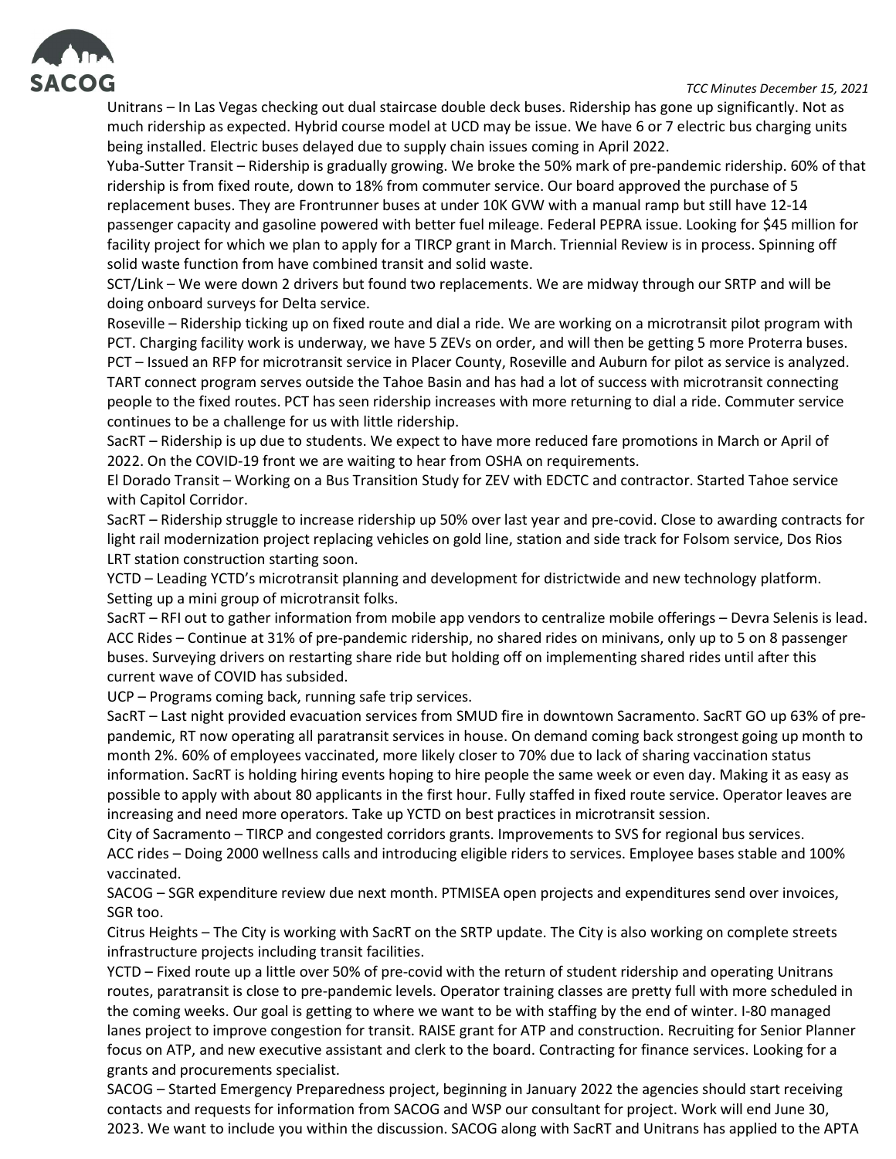

## TCC Minutes December 15, 2021

Unitrans – In Las Vegas checking out dual staircase double deck buses. Ridership has gone up significantly. Not as much ridership as expected. Hybrid course model at UCD may be issue. We have 6 or 7 electric bus charging units being installed. Electric buses delayed due to supply chain issues coming in April 2022.

Yuba-Sutter Transit – Ridership is gradually growing. We broke the 50% mark of pre-pandemic ridership. 60% of that ridership is from fixed route, down to 18% from commuter service. Our board approved the purchase of 5 replacement buses. They are Frontrunner buses at under 10K GVW with a manual ramp but still have 12-14 passenger capacity and gasoline powered with better fuel mileage. Federal PEPRA issue. Looking for \$45 million for facility project for which we plan to apply for a TIRCP grant in March. Triennial Review is in process. Spinning off solid waste function from have combined transit and solid waste.

SCT/Link – We were down 2 drivers but found two replacements. We are midway through our SRTP and will be doing onboard surveys for Delta service.

Roseville – Ridership ticking up on fixed route and dial a ride. We are working on a microtransit pilot program with PCT. Charging facility work is underway, we have 5 ZEVs on order, and will then be getting 5 more Proterra buses. PCT – Issued an RFP for microtransit service in Placer County, Roseville and Auburn for pilot as service is analyzed. TART connect program serves outside the Tahoe Basin and has had a lot of success with microtransit connecting people to the fixed routes. PCT has seen ridership increases with more returning to dial a ride. Commuter service continues to be a challenge for us with little ridership.

SacRT – Ridership is up due to students. We expect to have more reduced fare promotions in March or April of 2022. On the COVID-19 front we are waiting to hear from OSHA on requirements.

El Dorado Transit – Working on a Bus Transition Study for ZEV with EDCTC and contractor. Started Tahoe service with Capitol Corridor.

SacRT – Ridership struggle to increase ridership up 50% over last year and pre-covid. Close to awarding contracts for light rail modernization project replacing vehicles on gold line, station and side track for Folsom service, Dos Rios LRT station construction starting soon.

YCTD – Leading YCTD's microtransit planning and development for districtwide and new technology platform. Setting up a mini group of microtransit folks.

SacRT – RFI out to gather information from mobile app vendors to centralize mobile offerings – Devra Selenis is lead. ACC Rides – Continue at 31% of pre-pandemic ridership, no shared rides on minivans, only up to 5 on 8 passenger buses. Surveying drivers on restarting share ride but holding off on implementing shared rides until after this current wave of COVID has subsided.

UCP – Programs coming back, running safe trip services.

SacRT – Last night provided evacuation services from SMUD fire in downtown Sacramento. SacRT GO up 63% of prepandemic, RT now operating all paratransit services in house. On demand coming back strongest going up month to month 2%. 60% of employees vaccinated, more likely closer to 70% due to lack of sharing vaccination status information. SacRT is holding hiring events hoping to hire people the same week or even day. Making it as easy as possible to apply with about 80 applicants in the first hour. Fully staffed in fixed route service. Operator leaves are increasing and need more operators. Take up YCTD on best practices in microtransit session.

City of Sacramento – TIRCP and congested corridors grants. Improvements to SVS for regional bus services. ACC rides – Doing 2000 wellness calls and introducing eligible riders to services. Employee bases stable and 100% vaccinated.

SACOG – SGR expenditure review due next month. PTMISEA open projects and expenditures send over invoices, SGR too.

Citrus Heights – The City is working with SacRT on the SRTP update. The City is also working on complete streets infrastructure projects including transit facilities.

YCTD – Fixed route up a little over 50% of pre-covid with the return of student ridership and operating Unitrans routes, paratransit is close to pre-pandemic levels. Operator training classes are pretty full with more scheduled in the coming weeks. Our goal is getting to where we want to be with staffing by the end of winter. I-80 managed lanes project to improve congestion for transit. RAISE grant for ATP and construction. Recruiting for Senior Planner focus on ATP, and new executive assistant and clerk to the board. Contracting for finance services. Looking for a grants and procurements specialist.

SACOG – Started Emergency Preparedness project, beginning in January 2022 the agencies should start receiving contacts and requests for information from SACOG and WSP our consultant for project. Work will end June 30, 2023. We want to include you within the discussion. SACOG along with SacRT and Unitrans has applied to the APTA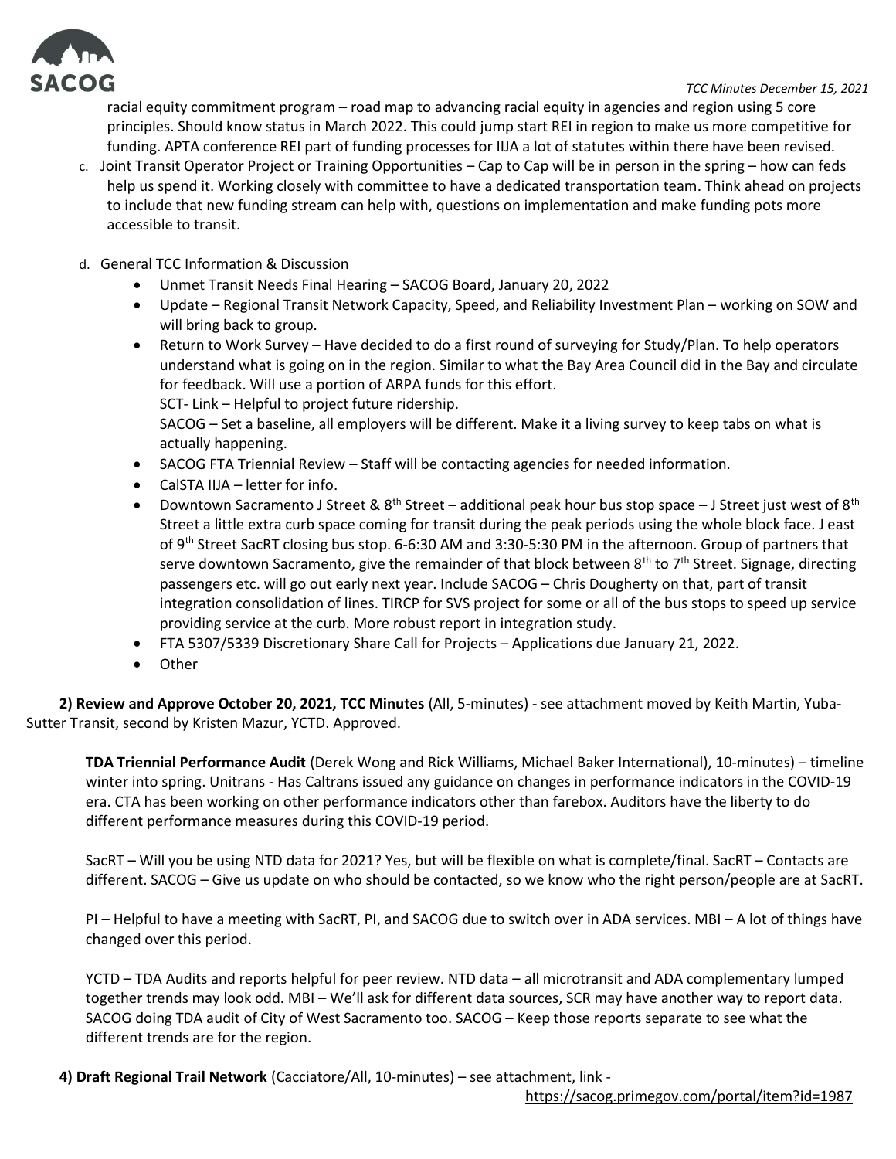

TCC Minutes December 15, 2021

racial equity commitment program – road map to advancing racial equity in agencies and region using 5 core principles. Should know status in March 2022. This could jump start REI in region to make us more competitive for funding. APTA conference REI part of funding processes for IIJA a lot of statutes within there have been revised.

- c. Joint Transit Operator Project or Training Opportunities Cap to Cap will be in person in the spring how can feds help us spend it. Working closely with committee to have a dedicated transportation team. Think ahead on projects to include that new funding stream can help with, questions on implementation and make funding pots more accessible to transit.
- d. General TCC Information & Discussion
	- Unmet Transit Needs Final Hearing SACOG Board, January 20, 2022
	- Update Regional Transit Network Capacity, Speed, and Reliability Investment Plan working on SOW and will bring back to group.
	- Return to Work Survey Have decided to do a first round of surveying for Study/Plan. To help operators understand what is going on in the region. Similar to what the Bay Area Council did in the Bay and circulate for feedback. Will use a portion of ARPA funds for this effort. SCT- Link – Helpful to project future ridership. SACOG – Set a baseline, all employers will be different. Make it a living survey to keep tabs on what is actually happening.
	- SACOG FTA Triennial Review Staff will be contacting agencies for needed information.
	- CalSTA IIJA letter for info.
	- Downtown Sacramento J Street & 8<sup>th</sup> Street additional peak hour bus stop space J Street just west of 8<sup>th</sup> Street a little extra curb space coming for transit during the peak periods using the whole block face. J east of 9<sup>th</sup> Street SacRT closing bus stop. 6-6:30 AM and 3:30-5:30 PM in the afternoon. Group of partners that serve downtown Sacramento, give the remainder of that block between  $8<sup>th</sup>$  to  $7<sup>th</sup>$  Street. Signage, directing passengers etc. will go out early next year. Include SACOG – Chris Dougherty on that, part of transit integration consolidation of lines. TIRCP for SVS project for some or all of the bus stops to speed up service providing service at the curb. More robust report in integration study.
	- FTA 5307/5339 Discretionary Share Call for Projects Applications due January 21, 2022.
	- Other

2) Review and Approve October 20, 2021, TCC Minutes (All, 5-minutes) - see attachment moved by Keith Martin, Yuba-Sutter Transit, second by Kristen Mazur, YCTD. Approved.

TDA Triennial Performance Audit (Derek Wong and Rick Williams, Michael Baker International), 10-minutes) – timeline winter into spring. Unitrans - Has Caltrans issued any guidance on changes in performance indicators in the COVID-19 era. CTA has been working on other performance indicators other than farebox. Auditors have the liberty to do different performance measures during this COVID-19 period.

SacRT – Will you be using NTD data for 2021? Yes, but will be flexible on what is complete/final. SacRT – Contacts are different. SACOG – Give us update on who should be contacted, so we know who the right person/people are at SacRT.

PI – Helpful to have a meeting with SacRT, PI, and SACOG due to switch over in ADA services. MBI – A lot of things have changed over this period.

YCTD – TDA Audits and reports helpful for peer review. NTD data – all microtransit and ADA complementary lumped together trends may look odd. MBI – We'll ask for different data sources, SCR may have another way to report data. SACOG doing TDA audit of City of West Sacramento too. SACOG – Keep those reports separate to see what the different trends are for the region.

4) Draft Regional Trail Network (Cacciatore/All, 10-minutes) – see attachment, link -